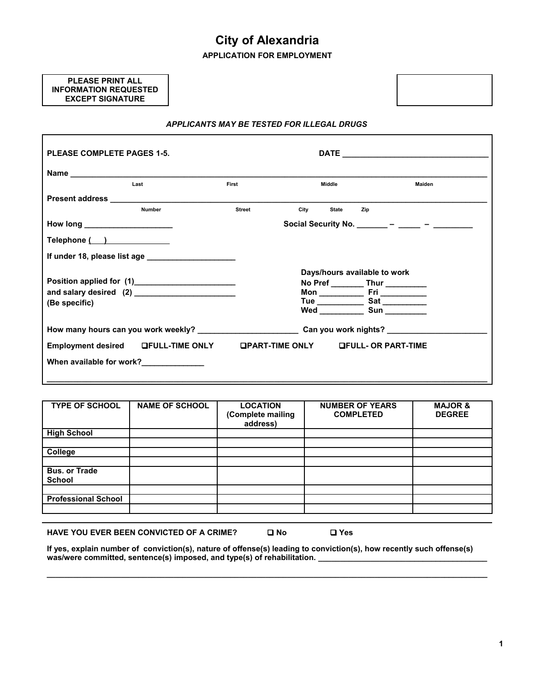# **City of Alexandria**

**APPLICATION FOR EMPLOYMENT**

## **PLEASE PRINT ALL INFORMATION REQUESTED EXCEPT SIGNATURE**



| <b>PLEASE COMPLETE PAGES 1-5.</b> |                                                                                                                                                                                                                                    |               |                      |                                                  |        |
|-----------------------------------|------------------------------------------------------------------------------------------------------------------------------------------------------------------------------------------------------------------------------------|---------------|----------------------|--------------------------------------------------|--------|
|                                   |                                                                                                                                                                                                                                    |               |                      |                                                  |        |
|                                   | Last                                                                                                                                                                                                                               | First         | Middle               |                                                  | Maiden |
|                                   | <b>Present address Exercísion Contract Contract Contract Contract Contract Contract Contract Contract Contract Contract Contract Contract Contract Contract Contract Contract Contract Contract Contract Contract Contract Con</b> |               |                      |                                                  |        |
|                                   | <b>Number</b>                                                                                                                                                                                                                      | <b>Street</b> | City<br><b>State</b> | Zip                                              |        |
| How long _______________________  |                                                                                                                                                                                                                                    |               |                      | Social Security No. ________ - ______ - ________ |        |
|                                   |                                                                                                                                                                                                                                    |               |                      |                                                  |        |
|                                   | If under 18, please list age ________________________                                                                                                                                                                              |               |                      |                                                  |        |
|                                   |                                                                                                                                                                                                                                    |               |                      | Days/hours available to work                     |        |
|                                   | Position applied for (1) ______________________                                                                                                                                                                                    |               |                      | No Pref ___________ Thur ___________             |        |
|                                   | and salary desired (2) ________________________                                                                                                                                                                                    |               |                      |                                                  |        |
| (Be specific)                     |                                                                                                                                                                                                                                    |               |                      |                                                  |        |
|                                   |                                                                                                                                                                                                                                    |               |                      | Wed _______________ Sun ___________              |        |
|                                   | How many hours can you work weekly? ______________________________Can you work nights? _____________                                                                                                                               |               |                      |                                                  |        |
|                                   | Employment desired LFULL-TIME ONLY                                                                                                                                                                                                 |               |                      | <b>OPART-TIME ONLY OF ULL- OR PART-TIME</b>      |        |
|                                   | When available for work?                                                                                                                                                                                                           |               |                      |                                                  |        |
|                                   |                                                                                                                                                                                                                                    |               |                      |                                                  |        |

| (Complete mailing<br>address) | <b>COMPLETED</b> | <b>DEGREE</b> |
|-------------------------------|------------------|---------------|
|                               |                  |               |
|                               |                  |               |
|                               |                  |               |
|                               |                  |               |
|                               |                  |               |
|                               |                  |               |

| <b>HAVE YOU EVER BEEN CONVICTED OF A CRIME?</b> | □ No | $\square$ Yes |
|-------------------------------------------------|------|---------------|
|-------------------------------------------------|------|---------------|

**If yes, explain number of conviction(s), nature of offense(s) leading to conviction(s), how recently such offense(s) was/were committed, sentence(s) imposed, and type(s) of rehabilitation. \_\_\_\_\_\_\_\_\_\_\_\_\_\_\_\_\_\_\_\_\_\_\_\_\_\_\_\_\_\_\_\_\_\_\_\_\_\_\_**

**\_\_\_\_\_\_\_\_\_\_\_\_\_\_\_\_\_\_\_\_\_\_\_\_\_\_\_\_\_\_\_\_\_\_\_\_\_\_\_\_\_\_\_\_\_\_\_\_\_\_\_\_\_\_\_\_\_\_\_\_\_\_\_\_\_\_\_\_\_\_\_\_\_\_\_\_\_\_\_\_\_\_\_\_\_\_\_\_\_\_\_\_\_\_\_\_\_\_\_\_\_**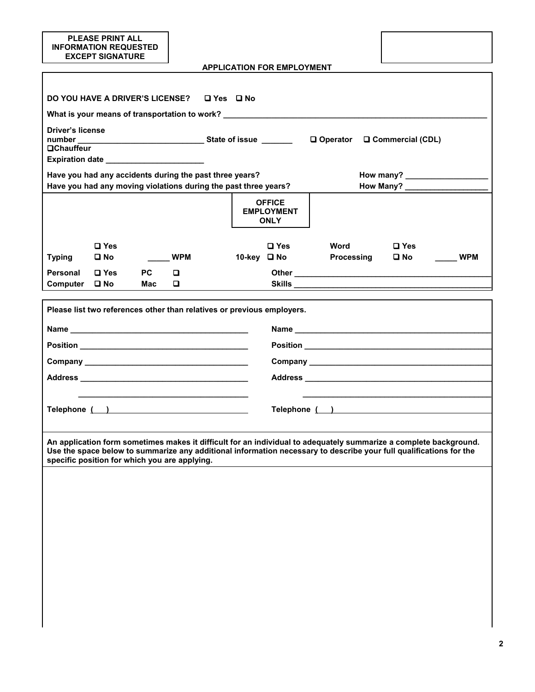|                                                                                                                                                                                                                                                                                          | <b>PLEASE PRINT ALL</b><br><b>INFORMATION REQUESTED</b><br><b>EXCEPT SIGNATURE</b>                                                                                                                                             |                  |            |  |  |                                                   |                                                                                  |                               |            |
|------------------------------------------------------------------------------------------------------------------------------------------------------------------------------------------------------------------------------------------------------------------------------------------|--------------------------------------------------------------------------------------------------------------------------------------------------------------------------------------------------------------------------------|------------------|------------|--|--|---------------------------------------------------|----------------------------------------------------------------------------------|-------------------------------|------------|
|                                                                                                                                                                                                                                                                                          |                                                                                                                                                                                                                                |                  |            |  |  | <b>APPLICATION FOR EMPLOYMENT</b>                 |                                                                                  |                               |            |
|                                                                                                                                                                                                                                                                                          | DO YOU HAVE A DRIVER'S LICENSE? LYes D No                                                                                                                                                                                      |                  |            |  |  |                                                   |                                                                                  |                               |            |
|                                                                                                                                                                                                                                                                                          |                                                                                                                                                                                                                                |                  |            |  |  |                                                   | What is your means of transportation to work? __________________________________ |                               |            |
| <b>Driver's license</b><br><b>OChauffeur</b>                                                                                                                                                                                                                                             |                                                                                                                                                                                                                                |                  |            |  |  |                                                   |                                                                                  |                               |            |
|                                                                                                                                                                                                                                                                                          | Have you had any accidents during the past three years?<br>Have you had any moving violations during the past three years?                                                                                                     |                  |            |  |  |                                                   |                                                                                  | How Many?                     |            |
|                                                                                                                                                                                                                                                                                          |                                                                                                                                                                                                                                |                  |            |  |  | <b>OFFICE</b><br><b>EMPLOYMENT</b><br><b>ONLY</b> |                                                                                  |                               |            |
| <b>Typing</b>                                                                                                                                                                                                                                                                            | $\square$ Yes<br>$\square$ No                                                                                                                                                                                                  |                  | <b>WPM</b> |  |  | <b>□ Yes</b><br>10-key □ No                       | Word<br>Processing                                                               | $\square$ Yes<br>$\square$ No | <b>WPM</b> |
| Personal<br>Computer                                                                                                                                                                                                                                                                     | $\Box$ Yes<br>$\square$ No                                                                                                                                                                                                     | <b>PC</b><br>Mac | o<br>0     |  |  |                                                   |                                                                                  |                               |            |
|                                                                                                                                                                                                                                                                                          |                                                                                                                                                                                                                                |                  |            |  |  |                                                   |                                                                                  |                               |            |
|                                                                                                                                                                                                                                                                                          | Please list two references other than relatives or previous employers.                                                                                                                                                         |                  |            |  |  |                                                   |                                                                                  |                               |            |
|                                                                                                                                                                                                                                                                                          |                                                                                                                                                                                                                                |                  |            |  |  |                                                   |                                                                                  |                               |            |
|                                                                                                                                                                                                                                                                                          |                                                                                                                                                                                                                                |                  |            |  |  |                                                   |                                                                                  |                               |            |
|                                                                                                                                                                                                                                                                                          |                                                                                                                                                                                                                                |                  |            |  |  |                                                   |                                                                                  |                               |            |
|                                                                                                                                                                                                                                                                                          |                                                                                                                                                                                                                                |                  |            |  |  |                                                   |                                                                                  |                               |            |
|                                                                                                                                                                                                                                                                                          |                                                                                                                                                                                                                                |                  |            |  |  |                                                   |                                                                                  |                               |            |
|                                                                                                                                                                                                                                                                                          | Telephone ( ) Telephone and the state of the state of the state of the state of the state of the state of the state of the state of the state of the state of the state of the state of the state of the state of the state of |                  |            |  |  |                                                   | Telephone ( )                                                                    |                               |            |
|                                                                                                                                                                                                                                                                                          |                                                                                                                                                                                                                                |                  |            |  |  |                                                   |                                                                                  |                               |            |
| An application form sometimes makes it difficult for an individual to adequately summarize a complete background.<br>Use the space below to summarize any additional information necessary to describe your full qualifications for the<br>specific position for which you are applying. |                                                                                                                                                                                                                                |                  |            |  |  |                                                   |                                                                                  |                               |            |
|                                                                                                                                                                                                                                                                                          |                                                                                                                                                                                                                                |                  |            |  |  |                                                   |                                                                                  |                               |            |
|                                                                                                                                                                                                                                                                                          |                                                                                                                                                                                                                                |                  |            |  |  |                                                   |                                                                                  |                               |            |
|                                                                                                                                                                                                                                                                                          |                                                                                                                                                                                                                                |                  |            |  |  |                                                   |                                                                                  |                               |            |
|                                                                                                                                                                                                                                                                                          |                                                                                                                                                                                                                                |                  |            |  |  |                                                   |                                                                                  |                               |            |
|                                                                                                                                                                                                                                                                                          |                                                                                                                                                                                                                                |                  |            |  |  |                                                   |                                                                                  |                               |            |
|                                                                                                                                                                                                                                                                                          |                                                                                                                                                                                                                                |                  |            |  |  |                                                   |                                                                                  |                               |            |
|                                                                                                                                                                                                                                                                                          |                                                                                                                                                                                                                                |                  |            |  |  |                                                   |                                                                                  |                               |            |
|                                                                                                                                                                                                                                                                                          |                                                                                                                                                                                                                                |                  |            |  |  |                                                   |                                                                                  |                               |            |
|                                                                                                                                                                                                                                                                                          |                                                                                                                                                                                                                                |                  |            |  |  |                                                   |                                                                                  |                               |            |
|                                                                                                                                                                                                                                                                                          |                                                                                                                                                                                                                                |                  |            |  |  |                                                   |                                                                                  |                               |            |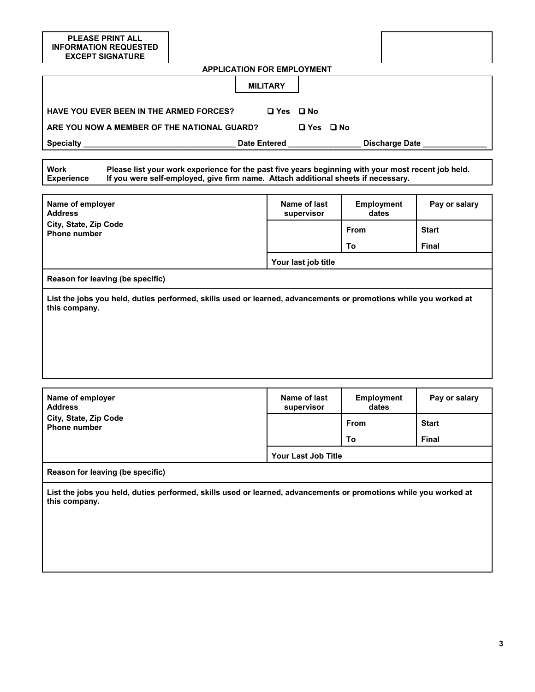| <b>PLEASE PRINT ALL</b><br><b>INFORMATION REQUESTED</b><br><b>EXCEPT SIGNATURE</b>                                                                                                                                   |                                   |                            |               |  |  |  |  |
|----------------------------------------------------------------------------------------------------------------------------------------------------------------------------------------------------------------------|-----------------------------------|----------------------------|---------------|--|--|--|--|
|                                                                                                                                                                                                                      | <b>APPLICATION FOR EMPLOYMENT</b> |                            |               |  |  |  |  |
| <b>MILITARY</b>                                                                                                                                                                                                      |                                   |                            |               |  |  |  |  |
| <b>HAVE YOU EVER BEEN IN THE ARMED FORCES?</b><br>□ Yes □ No                                                                                                                                                         |                                   |                            |               |  |  |  |  |
| ARE YOU NOW A MEMBER OF THE NATIONAL GUARD?<br>□ Yes □ No                                                                                                                                                            |                                   |                            |               |  |  |  |  |
|                                                                                                                                                                                                                      |                                   | Discharge Date             |               |  |  |  |  |
|                                                                                                                                                                                                                      |                                   |                            |               |  |  |  |  |
| Please list your work experience for the past five years beginning with your most recent job held.<br>Work<br>If you were self-employed, give firm name. Attach additional sheets if necessary.<br><b>Experience</b> |                                   |                            |               |  |  |  |  |
| Name of employer<br><b>Address</b>                                                                                                                                                                                   | Name of last<br>supervisor        | <b>Employment</b><br>dates | Pay or salary |  |  |  |  |
| City, State, Zip Code<br><b>Phone number</b>                                                                                                                                                                         |                                   | From                       | <b>Start</b>  |  |  |  |  |
|                                                                                                                                                                                                                      |                                   | To                         | <b>Final</b>  |  |  |  |  |
|                                                                                                                                                                                                                      | Your last job title               |                            |               |  |  |  |  |
| Reason for leaving (be specific)<br>List the jobs you held, duties performed, skills used or learned, advancements or promotions while you worked at<br>this company.                                                |                                   |                            |               |  |  |  |  |
| Name of employer<br><b>Address</b>                                                                                                                                                                                   | Name of last<br>supervisor        | <b>Employment</b><br>dates | Pay or salary |  |  |  |  |
| City, State, Zip Code<br><b>Phone number</b>                                                                                                                                                                         |                                   | From                       | <b>Start</b>  |  |  |  |  |
|                                                                                                                                                                                                                      |                                   | To                         | Final         |  |  |  |  |
|                                                                                                                                                                                                                      | Your Last Job Title               |                            |               |  |  |  |  |
| Reason for leaving (be specific)                                                                                                                                                                                     |                                   |                            |               |  |  |  |  |
| List the jobs you held, duties performed, skills used or learned, advancements or promotions while you worked at<br>this company.                                                                                    |                                   |                            |               |  |  |  |  |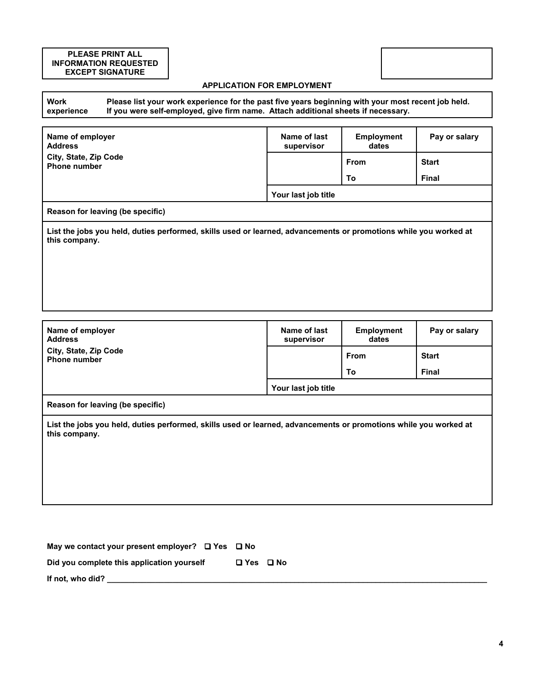## **PLEASE PRINT ALL INFORMATION REQUESTED EXCEPT SIGNATURE**

## **APPLICATION FOR EMPLOYMENT**

**Work experience Please list your work experience for the past five years beginning with your most recent job held. If you were self-employed, give firm name. Attach additional sheets if necessary.**

| Name of employer<br><b>Address</b>                                                                                                | Name of last<br><b>Employment</b><br>supervisor<br>dates |             | Pay or salary |  |  |  |  |
|-----------------------------------------------------------------------------------------------------------------------------------|----------------------------------------------------------|-------------|---------------|--|--|--|--|
| City, State, Zip Code<br><b>Phone number</b>                                                                                      |                                                          | <b>From</b> | <b>Start</b>  |  |  |  |  |
|                                                                                                                                   |                                                          | To          | <b>Final</b>  |  |  |  |  |
|                                                                                                                                   | Your last job title                                      |             |               |  |  |  |  |
| Reason for leaving (be specific)                                                                                                  |                                                          |             |               |  |  |  |  |
| List the jobs you held, duties performed, skills used or learned, advancements or promotions while you worked at<br>this company. |                                                          |             |               |  |  |  |  |
|                                                                                                                                   |                                                          |             |               |  |  |  |  |
|                                                                                                                                   |                                                          |             |               |  |  |  |  |
|                                                                                                                                   |                                                          |             |               |  |  |  |  |
|                                                                                                                                   |                                                          |             |               |  |  |  |  |

| Name of employer<br><b>Address</b>           | Name of last<br>supervisor | <b>Employment</b><br>dates | Pay or salary |
|----------------------------------------------|----------------------------|----------------------------|---------------|
| City, State, Zip Code<br><b>Phone number</b> |                            | <b>From</b>                | <b>Start</b>  |
|                                              |                            | To                         | <b>Final</b>  |
|                                              | Your last job title        |                            |               |
| $\sim$                                       |                            |                            |               |

**Reason for leaving (be specific)**

**List the jobs you held, duties performed, skills used or learned, advancements or promotions while you worked at this company.**

| May we contact your present employer? $\Box$ Yes $\Box$ No |                      |
|------------------------------------------------------------|----------------------|
| Did you complete this application yourself                 | $\Box$ Yes $\Box$ No |
| If not, who did?                                           |                      |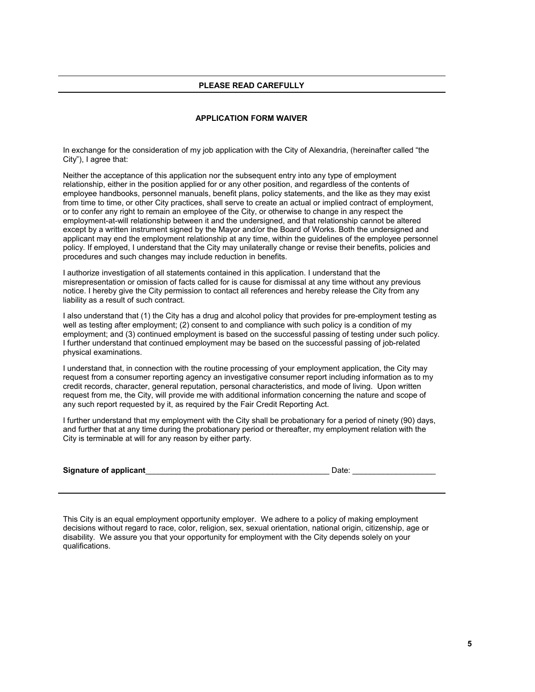## **PLEASE READ CAREFULLY**

#### **APPLICATION FORM WAIVER**

In exchange for the consideration of my job application with the City of Alexandria, (hereinafter called "the City"), I agree that:

Neither the acceptance of this application nor the subsequent entry into any type of employment relationship, either in the position applied for or any other position, and regardless of the contents of employee handbooks, personnel manuals, benefit plans, policy statements, and the like as they may exist from time to time, or other City practices, shall serve to create an actual or implied contract of employment, or to confer any right to remain an employee of the City, or otherwise to change in any respect the employment-at-will relationship between it and the undersigned, and that relationship cannot be altered except by a written instrument signed by the Mayor and/or the Board of Works. Both the undersigned and applicant may end the employment relationship at any time, within the guidelines of the employee personnel policy. If employed, I understand that the City may unilaterally change or revise their benefits, policies and procedures and such changes may include reduction in benefits.

I authorize investigation of all statements contained in this application. I understand that the misrepresentation or omission of facts called for is cause for dismissal at any time without any previous notice. I hereby give the City permission to contact all references and hereby release the City from any liability as a result of such contract.

I also understand that (1) the City has a drug and alcohol policy that provides for pre-employment testing as well as testing after employment; (2) consent to and compliance with such policy is a condition of my employment; and (3) continued employment is based on the successful passing of testing under such policy. I further understand that continued employment may be based on the successful passing of job-related physical examinations.

I understand that, in connection with the routine processing of your employment application, the City may request from a consumer reporting agency an investigative consumer report including information as to my credit records, character, general reputation, personal characteristics, and mode of living. Upon written request from me, the City, will provide me with additional information concerning the nature and scope of any such report requested by it, as required by the Fair Credit Reporting Act.

I further understand that my employment with the City shall be probationary for a period of ninety (90) days, and further that at any time during the probationary period or thereafter, my employment relation with the City is terminable at will for any reason by either party.

| <b>Signature of applicant</b> | Jate |  |
|-------------------------------|------|--|
|                               |      |  |

This City is an equal employment opportunity employer. We adhere to a policy of making employment decisions without regard to race, color, religion, sex, sexual orientation, national origin, citizenship, age or disability. We assure you that your opportunity for employment with the City depends solely on your qualifications.